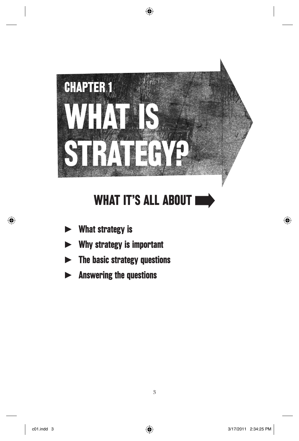

⊕

# WHAT IT'S ALL ABOUT I

- $\blacktriangleright$ What strategy is
- $\blacktriangleright$ Why strategy is important
- $\blacktriangleright$ The basic strategy questions
- $\blacktriangleright$ Answering the questions

⊕

⊕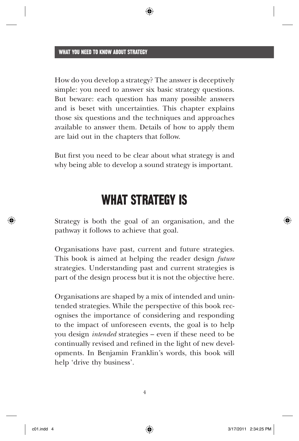How do you develop a strategy? The answer is deceptively simple: you need to answer six basic strategy questions. But beware: each question has many possible answers and is beset with uncertainties. This chapter explains those six questions and the techniques and approaches available to answer them. Details of how to apply them are laid out in the chapters that follow.

But first you need to be clear about what strategy is and why being able to develop a sound strategy is important.

## WHAT STRATEGY IS

Strategy is both the goal of an organisation, and the pathway it follows to achieve that goal.

Organisations have past, current and future strategies. This book is aimed at helping the reader design *future* strategies. Understanding past and current strategies is part of the design process but it is not the objective here.

Organisations are shaped by a mix of intended and unintended strategies. While the perspective of this book recognises the importance of considering and responding to the impact of unforeseen events, the goal is to help you design *intended* strategies – even if these need to be continually revised and refined in the light of new developments. In Benjamin Franklin's words, this book will help 'drive thy business'.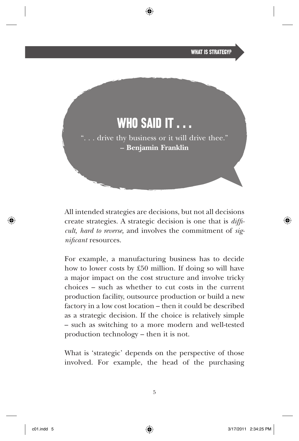

All intended strategies are decisions, but not all decisions create strategies. A strategic decision is one that is *diffi cult, hard to reverse,* and involves the commitment of *significant* resources.

For example, a manufacturing business has to decide how to lower costs by  $£50$  million. If doing so will have a major impact on the cost structure and involve tricky choices – such as whether to cut costs in the current production facility, outsource production or build a new factory in a low cost location – then it could be described as a strategic decision. If the choice is relatively simple – such as switching to a more modern and well-tested production technology – then it is not.

What is 'strategic' depends on the perspective of those involved. For example, the head of the purchasing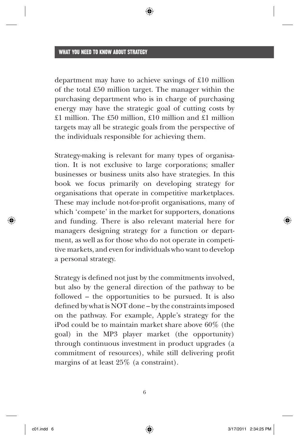department may have to achieve savings of  $£10$  million of the total  $£50$  million target. The manager within the purchasing department who is in charge of purchasing energy may have the strategic goal of cutting costs by £1 million. The £50 million, £10 million and £1 million targets may all be strategic goals from the perspective of the individuals responsible for achieving them.

Strategy-making is relevant for many types of organisation. It is not exclusive to large corporations; smaller businesses or business units also have strategies. In this book we focus primarily on developing strategy for organisations that operate in competitive marketplaces. These may include not-for-profit organisations, many of which 'compete' in the market for supporters, donations and funding. There is also relevant material here for managers designing strategy for a function or department, as well as for those who do not operate in competitive markets, and even for individuals who want to develop a personal strategy.

Strategy is defined not just by the commitments involved, but also by the general direction of the pathway to be followed – the opportunities to be pursued. It is also defined by what is NOT done – by the constraints imposed on the pathway. For example, Apple 's strategy for the iPod could be to maintain market share above 60% (the goal) in the MP3 player market (the opportunity) through continuous investment in product upgrades (a commitment of resources), while still delivering profit margins of at least 25% (a constraint).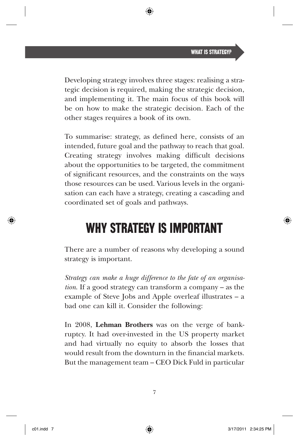Developing strategy involves three stages: realising a strategic decision is required, making the strategic decision, and implementing it. The main focus of this book will be on how to make the strategic decision. Each of the other stages requires a book of its own.

To summarise: strategy, as defined here, consists of an intended, future goal and the pathway to reach that goal. Creating strategy involves making difficult decisions about the opportunities to be targeted, the commitment of significant resources, and the constraints on the ways those resources can be used. Various levels in the organisation can each have a strategy, creating a cascading and coordinated set of goals and pathways.

## WHY STRATEGY IS IMPORTANT

There are a number of reasons why developing a sound strategy is important.

*Strategy can make a huge difference to the fate of an organisation*. If a good strategy can transform a company – as the example of Steve Jobs and Apple overleaf illustrates  $- a$ bad one can kill it. Consider the following:

In 2008, **Lehman Brothers** was on the verge of bankruptcy. It had over-invested in the US property market and had virtually no equity to absorb the losses that would result from the downturn in the financial markets. But the management team – CEO Dick Fuld in particular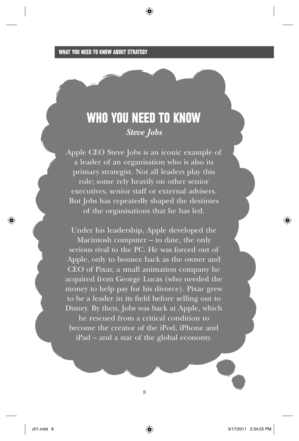## WHO YOU NEED TO KNOW *Steve Jobs*

⊕

Apple CEO Steve Jobs is an iconic example of a leader of an organisation who is also its primary strategist. Not all leaders play this role; some rely heavily on other senior executives, senior staff or external advisers. But Jobs has repeatedly shaped the destinies of the organisations that he has led.

Under his leadership, Apple developed the Macintosh computer – to date, the only serious rival to the PC. He was forced out of Apple, only to bounce back as the owner and CEO of Pixar, a small animation company he acquired from George Lucas (who needed the money to help pay for his divorce). Pixar grew to be a leader in its field before selling out to Disney. By then, Jobs was back at Apple, which

he rescued from a critical condition to become the creator of the iPod, iPhone and iPad – and a star of the global economy.

⊕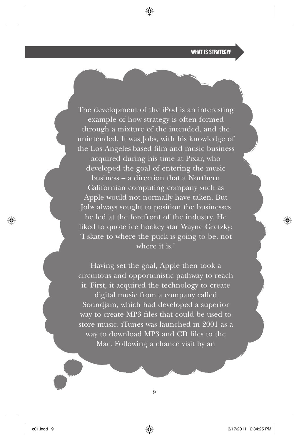### WHAT IS STRATEGY?

The development of the iPod is an interesting example of how strategy is often formed through a mixture of the intended, and the unintended. It was Jobs, with his knowledge of the Los Angeles-based film and music business acquired during his time at Pixar, who developed the goal of entering the music business – a direction that a Northern Californian computing company such as Applewould not normally have taken. But Jobs always sought to position the businesses he led at the forefront of the industry. He liked to quote ice hockey star Wayne Gretzky: 'I skate to where the puck is going to be, not where it is.'

⊕

Having set the goal, Apple then took a circuitous and opportunistic pathway to reach it. First, it acquired the technology to create digital music from a company called Soundjam, which had developed a superior way to create MP3 files that could be used to store music. iTunes was launched in 2001 as a way to download MP3 and CD files to the Mac. Following a chance visit by an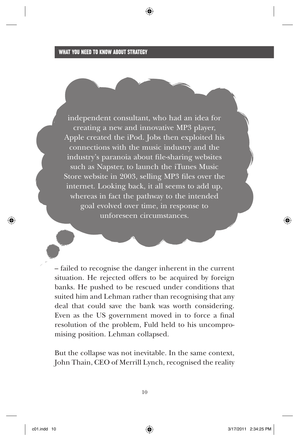independent consultant, who had an idea for creating a new and innovative MP3 player, Apple created the iPod. Jobs then exploited his connections with the music industry and the industry's paranoia about file-sharing websites such as Napster, to launch the iTunes Music Store website in  $2003$ , selling MP3 files over the internet. Looking back, it all seems to add up, whereas in fact the pathway to the intended goal evolved over time, in response to unforeseen circumstances.

– failed to recognise the danger inherent in the current situation. He rejected offers to be acquired by foreign banks. He pushed to be rescued under conditions that suited him and Lehman rather than recognising that any deal that could save the bank was worth considering. Even as the US government moved in to force a final resolution of the problem, Fuld held to his uncompromising position. Lehman collapsed.

But the collapse was not inevitable. In the same context, John Thain, CEO of Merrill Lynch, recognised the reality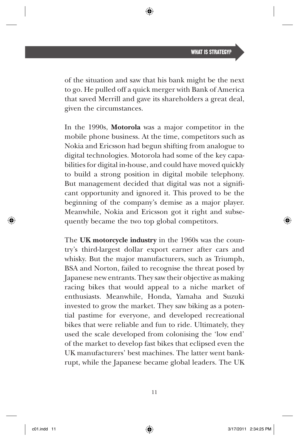of the situation and saw that his bank might be the next to go. He pulled off a quick merger with Bank of America that saved Merrill and gave its shareholders a great deal, given the circumstances.

In the 1990s, **Motorola** was a major competitor in the mobile phone business. At the time, competitors such as Nokiaand Ericsson had begun shifting from analogue to digital technologies. Motorolahad some of the key capabilities for digital in-house, and could have moved quickly to build a strong position in digital mobile telephony. But management decided that digital was not a significant opportunity and ignored it. This proved to be the beginning of the company's demise as a major player. Meanwhile, Nokia and Ericsson got it right and subsequently became the two top global competitors.

The **UK motorcycle industry** in the 1960s was the country's third-largest dollar export earner after cars and whisky. But the major manufacturers, such as Triumph, BSA and Norton, failed to recognise the threat posed by Japanese new entrants. They saw their objective as making racing bikes that would appeal to a niche market of enthusiasts. Meanwhile, Honda, Yamaha and Suzuki invested to grow the market. They saw biking as a potential pastime for everyone, and developed recreational bikes that were reliable and fun to ride. Ultimately, they used the scale developed from colonising the 'low end ' of the market to develop fast bikes that eclipsed even the UK manufacturers' best machines. The latter went bankrupt, while the Japanese became global leaders. The UK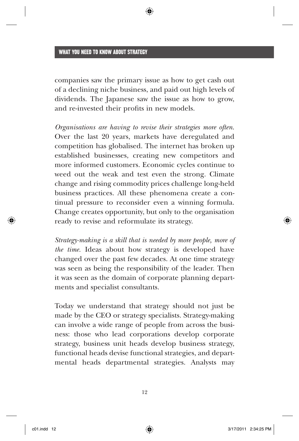companies saw the primary issue as how to get cash out of a declining niche business, and paid out high levels of dividends. The Japanese saw the issue as how to grow, and re-invested their profits in new models.

*Organisations are having to revise their strategies more often*. Over the last 20 years, markets have deregulated and competition has globalised. The internet has broken up established businesses, creating new competitors and more informed customers. Economic cycles continue to weed out the weak and test even the strong. Climate change and rising commodity prices challenge long-held business practices. All these phenomena create a continual pressure to reconsider even a winning formula. Change creates opportunity, but only to the organisation ready to revise and reformulate its strategy.

*Strategy - making is a skill that is needed by more people, more of the time.* Ideas about how strategy is developed have changed over the past few decades. At one time strategy was seen as being the responsibility of the leader. Then it was seen as the domain of corporate planning departments and specialist consultants.

Today we understand that strategy should not just be made by the CEO or strategy specialists. Strategy-making can involve a wide range of peoplefrom across the business: those who lead corporations develop corporate strategy, business unit heads develop business strategy, functional heads devise functional strategies, and departmental heads departmental strategies. Analysts may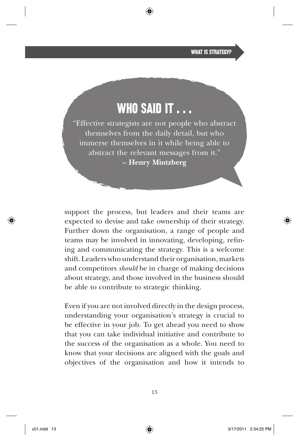WHAT IS STRATEGY?

## WHO SAID IT . . .

"Effective strategists are not peoplewho abstract themselves from the daily detail, but who immerse themselves in it while being able to abstract the relevant messages from it. " **– Henry Mintzberg** 

support the process, but leaders and their teams are expected to devise and take ownership of their strategy. Further down the organisation, a range of peopleand teams may be involved in innovating, developing, refining and communicating the strategy. This is a welcome shift. Leaders who understand their organisation, markets and competitors *should* be in charge of making decisions about strategy, and those involved in the business should be able to contribute to strategic thinking.

Even if you are not involved directly in the design process, understanding your organisation 's strategy is crucial to be effective in your job. To get ahead you need to show that you can take individual initiative and contribute to the success of the organisation as a whole. You need to know that your decisions are aligned with the goals and objectives of the organisation and how it intends to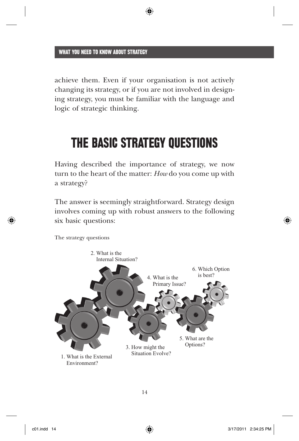achieve them. Even if your organisation is not actively changing its strategy, or if you are not involved in designing strategy, you must be familiar with the language and logic of strategic thinking.

◈

## THE BASIC STRATEGY QUESTIONS

Having described the importance of strategy, we now turn to the heart of the matter: *How* do you come up with a strategy?

The answer is seemingly straightforward. Strategy design involves coming up with robust answers to the following six basic questions:

3. How might the Situation Evolve? 5. What are the Options? 1. What is the External Environment? 4. What is the Primary Issue? 6. Which Option is best? 2. What is the Internal Situation?

The strategy questions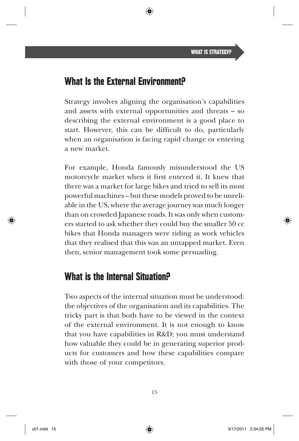## What Is the External Environment?

Strategy involves aligning the organisation's capabilities and assets with external opportunities and threats – so describing the external environment is a good place to start. However, this can be difficult to do, particularly when an organisation is facing rapid change or entering a new market.

For example, Honda famously misunderstood the US motor cycle market when it first entered it. It knew that there was a market for large bikes and tried to sell its most powerful machines – but these models proved to be unreliable in the US, where the average journey was much longer than on crowded Japanese roads. It was only when customers started to ask whether they could buy the smaller 50 cc bikes that Honda managers were riding as work vehicles that they realised that this was an untapped market. Even then, senior management took some persuading.

### What is the Internal Situation?

Two aspects of the internal situation must be understood: the objectives of the organisation and its capabilities. The tricky part is that both have to be viewed in the context of the external environment. It is not enough to know that you have capabilities in R&D; you must understand how valuable they could be in generating superior products for customers and how these capabilities compare with those of your competitors.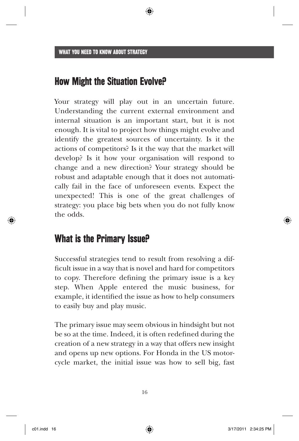### How Might the Situation Evolve?

Your strategy will play out in an uncertain future. Understanding the current external environment and internal situation is an important start, but it is not enough. It is vital to project how things might evolve and identify the greatest sources of uncertainty. Is it the actions of competitors? Is it the way that the market will develop? Is it how your organisation will respond to change and a new direction? Your strategy should be robust and adaptable enough that it does not automatically fail in the face of unforeseen events. Expect the unexpected! This is one of the great challenges of strategy: you place big bets when you do not fully know the odds.

### What is the Primary Issue?

Successful strategies tend to result from resolving a difficult issue in a way that is novel and hard for competitors to copy. Therefore defining the primary issue is a key step. When Apple entered the music business, for example, it identified the issue as how to help consumers to easily buy and play music.

The primary issue may seem obvious in hindsight but not be so at the time. Indeed, it is often redefined during the creation of a new strategy in a way that offers new insight and opens up new options. For Honda in the US motorcycle market, the initial issue was how to sell big, fast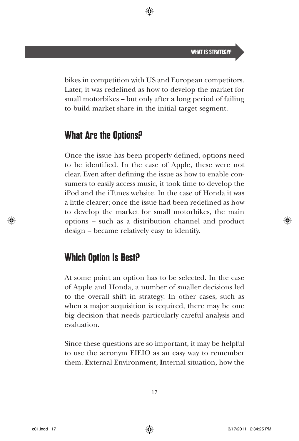bikes in competition with US and European competitors. Later, it was redefined as how to develop the market for small motorbikes – but only after a long period of failing to build market share in the initial target segment.

## What Are the Options?

Once the issue has been properly defined, options need to be identified. In the case of Apple, these were not clear. Even after defining the issue as how to enable consumers to easily access music, it took time to develop the iPod and the iTunes website. In the case of Honda it was a little clearer; once the issue had been redefined as how to develop the market for small motorbikes, the main options – such as a distribution channel and product design – became relatively easy to identify.

### Which Option Is Best?

At some point an option has to be selected. In the case of Appleand Honda , a number of smaller decisions led to the overall shift in strategy. In other cases, such as when a major acquisition is required, there may be one big decision that needs particularly careful analysis and evaluation.

Since these questions are so important, it may be helpful to use the acronym EIEIO as an easy way to remember them. **E**xternal Environment, **I**nternal situation, how the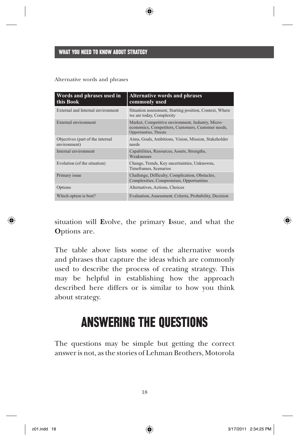#### Alternative words and phrases

| Words and phrases used in<br>this Book           | <b>Alternative words and phrases</b><br>commonly used                                                                             |
|--------------------------------------------------|-----------------------------------------------------------------------------------------------------------------------------------|
| External and Internal environment                | Situation assessment, Starting position, Context, Where<br>we are today, Complexity                                               |
| External environment                             | Market, Competitive environment, Industry, Micro-<br>economics, Competitors, Customers, Customer needs,<br>Opportunities, Threats |
| Objectives (part of the internal<br>environment) | Aims, Goals, Ambitions, Vision, Mission, Stakeholder<br>needs                                                                     |
| Internal environment                             | Capabilities, Resources, Assets, Strengths,<br>Weaknesses                                                                         |
| Evolution (of the situation)                     | Change, Trends, Key uncertainties, Unknowns,<br>Timeframes, Scenarios                                                             |
| Primary issue                                    | Challenge, Difficulty, Complication, Obstacles,<br>Complexities, Compromises, Opportunities                                       |
| Options                                          | Alternatives, Actions, Choices                                                                                                    |
| Which option is best?                            | Evaluation, Assessment, Criteria, Probability, Decision                                                                           |

⊕

situation will **E**volve, the primary **I**ssue, and what the **O**ptions are.

The table above lists some of the alternative words and phrases that capture the ideas which are commonly used to describe the process of creating strategy. This may be helpful in establishing how the approach described here differs or is similar to how you think about strategy.

## ANSWERING THE QUESTIONS

The questions may be simple but getting the correct answer is not, as the stories of Lehman Brothers , Motorola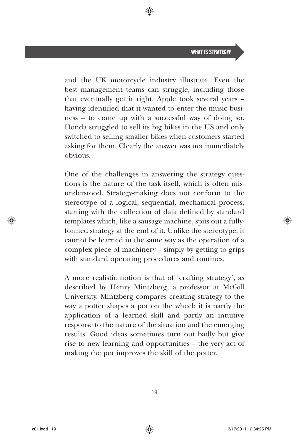and the UK motorcycle industryillustrate. Even the best management teams can struggle, including those that eventually get it right. Apple took several years  $$ having identified that it wanted to enter the music business – to come up with a successful way of doing so. Honda struggled to sell its big bikes in the US and only switched to selling smaller bikes when customers started asking for them. Clearly the answer was not immediately obvious.

One of the challenges in answering the strategy questions is the nature of the task itself, which is often misunderstood. Strategy-making does not conform to the stereotype of a logical, sequential, mechanical process, starting with the collection of data defined by standard templates which, like a sausage machine, spits out a fully formed strategy at the end of it. Unlike the stereotype, it cannot be learned in the same way as the operation of a complex piece of machinery – simply by getting to grips with standard operating procedures and routines.

A more realistic notion is that of 'crafting strategy ', as described by Henry Mintzberg, a professor at McGill University. Mintzberg compares creating strategy to the way a potter shapes a pot on the wheel; it is partly the application of a learned skill and partly an intuitive response to the nature of the situation and the emerging results. Good ideas sometimes turn out badly but give rise to new learning and opportunities – the very act of making the pot improves the skill of the potter.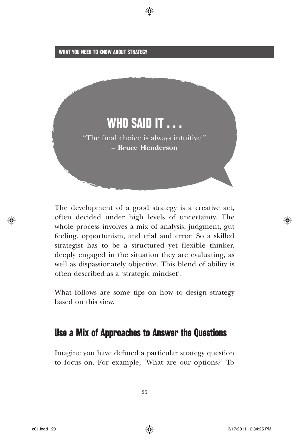

⊕

The development of a good strategy is a creative act, often decided under high levels of uncertainty. The whole process involves a mix of analysis, judgment, gut feeling, opportunism, and trial and error. So a skilled strategist has to be a structured yet flexible thinker, deeply engaged in the situation they are evaluating, as well as dispassionately objective. This blend of ability is often described as a 'strategic mindset '.

What follows are some tips on how to design strategy based on this view.

### Use a Mix of Approaches to Answer the Questions

Imagine you have defined a particular strategy question to focus on. For example, 'What are our options? ' To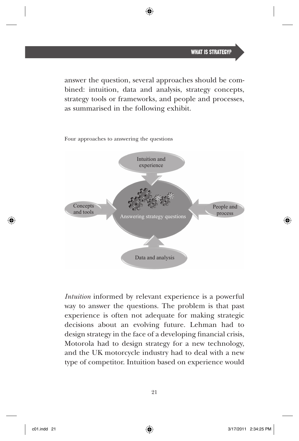answer the question, several approaches should be combined: intuition, data and analysis, strategy concepts, strategy tools or frameworks, and peopleand processes, as summarised in the following exhibit.

Four approaches to answering the questions



*Intuition* informed by relevant experience is a powerful way to answer the questions. The problem is that past experience is often not adequate for making strategic decisions about an evolving future. Lehman had to design strategy in the face of a developing financial crisis, Motorolahad to design strategy for a new technology, and the UK motorcycle industryhad to deal with a new type of competitor. Intuition based on experience would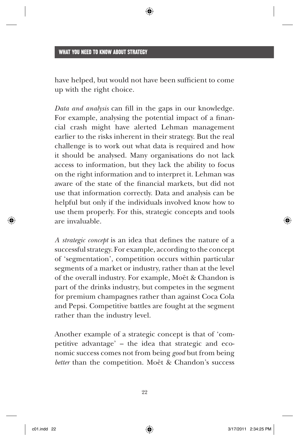have helped, but would not have been sufficient to come up with the right choice.

*Data and analysis* can fill in the gaps in our knowledge. For example, analysing the potential impact of a financial crash might have alerted Lehman management earlier to the risks inherent in their strategy. But the real challenge is to work out what data is required and how it should be analysed. Many organisations do not lack access to information, but they lack the ability to focus on the right information and to interpret it. Lehman was aware of the state of the financial markets, but did not use that information correctly. Dataand analysis can be helpful but only if the individuals involved know how to use them properly. For this, strategic conceptsand tools are invaluable.

*A strategic concept* is an idea that defines the nature of a successful strategy. For example, according to the concept of 'segmentation ', competition occurs within particular segments of a market or industry, rather than at the level of the overall industry. For example, Moët & Chandon is part of the drinks industry, but competes in the segment for premium champagnes rather than against Coca Cola and Pepsi. Competitive battles are fought at the segment rather than the industry level.

Another example of a strategic concept is that of 'competitive advantage' – the idea that strategic and economic success comes not from being *good* but from being *better* than the competition. Moët & Chandon's success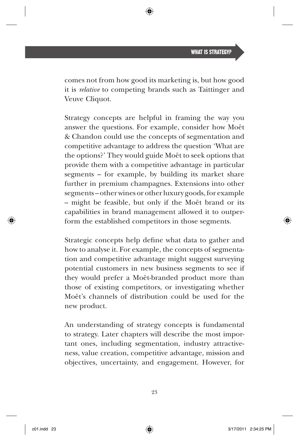comes not from how good its marketing is, but how good it is *relative* to competing brands such as Taittinger and Veuve Cliquot.

Strategy concepts are helpful in framing the way you answer the questions. For example, consider how Moët & Chandon could use the concepts of segmentation and competitive advantage to address the question 'What are the options?' They would guide Moët to seek options that provide them with a competitive advantage in particular segments – for example, by building its market share further in premium champagnes. Extensions into other segments – other wines or other luxury goods, for example – might be feasible, but only if the Moët brand or its capabilities in brand management allowed it to outperform the established competitors in those segments.

Strategic concepts help define what data to gather and how to analyse it. For example, the concepts of segmentation and competitive advantage might suggest surveying potential customers in new business segments to see if they would prefer a Moët-branded product more than those of existing competitors, or investigating whether Moët's channels of distribution could be used for the new product.

An understanding of strategy concepts is fundamental to strategy. Later chapters will describe the most important ones, including segmentation, industry attractiveness, value creation, competitive advantage, mission and objectives, uncertainty, and engagement. However, for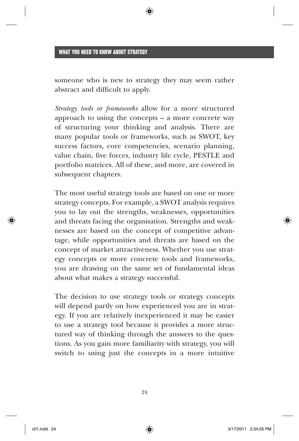someone who is new to strategy they may seem rather abstract and difficult to apply.

*Strategy tools or frameworks* allow for a more structured approach to using the concepts – a more concrete way of structuring your thinking and analysis. There are many popular tools or frameworks, such as SWOT, key success factors, core competencies, scenario planning, value chain, five forces, industry life cycle, PESTLE and portfolio matrices . All of these, and more, are covered in subsequent chapters.

The most useful strategy tools are based on one or more strategy concepts. For example, a SWOT analysis requires you to lay out the strengths, weaknesses, opportunities and threats facing the organisation. Strengths and weaknesses are based on the concept of competitive advantage, while opportunities and threats are based on the concept of market attractiveness. Whether you use strategy concepts or more concrete tools and frameworks, you are drawing on the same set of fundamental ideas about what makes a strategy successful.

The decision to use strategy tools or strategy concepts will depend partly on how experienced you are in strategy. If you are relatively inexperienced it may be easier to use a strategy tool because it provides a more structured way of thinking through the answers to the questions. As you gain more familiarity with strategy, you will switch to using just the concepts in a more intuitive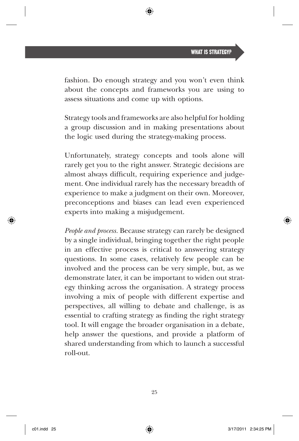fashion. Do enough strategy and you won 't even think about the concepts and frameworks you are using to assess situations and come up with options.

Strategy toolsand frameworks are also helpful for holding a group discussion and in making presentations about the logic used during the strategy-making process.

Unfortunately, strategy concepts and tools alone will rarely get you to the right answer. Strategic decisions are almost always difficult, requiring experience and judgement. One individual rarely has the necessary breadth of experience to make a judgment on their own. Moreover, preconceptions and biases can lead even experienced experts into making a misjudgement.

*People and process.* Because strategy can rarely be designed by a single individual, bringing together the right people in an effective process is critical to answering strategy questions. In some cases, relatively few people can be involved and the process can be very simple, but, as we demonstrate later, it can be important to widen out strategy thinking across the organisation. A strategy process involving a mix of peoplewith different expertise and perspectives, all willing to debate and challenge, is as essential to crafting strategy as finding the right strategy tool. It will engage the broader organisation in a debate, help answer the questions, and provide a platform of shared understanding from which to launch a successful roll-out.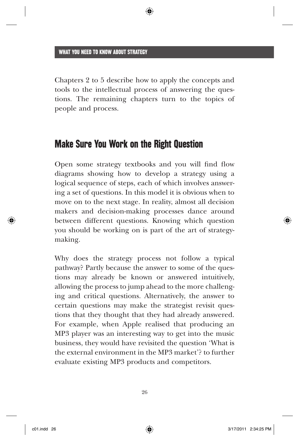Chapters 2 to 5 describe how to apply the concepts and tools to the intellectual process of answering the questions. The remaining chapters turn to the topics of peopleand process.

### Make Sure You Work on the Right Question

Open some strategy textbooks and you will find flow diagrams showing how to develop a strategy using a logical sequence of steps, each of which involves answering a set of questions. In this model it is obvious when to move on to the next stage. In reality, almost all decision makers and decision-making processes dance around between different questions. Knowing which question you should be working on is part of the art of strategy making.

Why does the strategy process not follow a typical pathway? Partly because the answer to some of the questions may already be known or answered intuitively, allowing the process to jump ahead to the more challenging and critical questions. Alternatively, the answer to certain questions may make the strategist revisit questions that they thought that they had already answered. For example, when Apple realised that producing an MP3 player was an interesting way to get into the music business, they would have revisited the question 'What is the external environmentin the MP3 market '? to further evaluate existing MP3 products and competitors.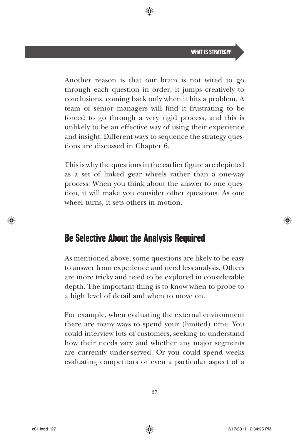Another reason is that our brain is not wired to go through each question in order; it jumps creatively to conclusions, coming back only when it hits a problem. A team of senior managers will find it frustrating to be forced to go through a very rigid process, and this is unlikely to be an effective way of using their experience and insight. Different ways to sequence the strategy questions are discussed in Chapter 6.

This is why the questions in the earlier figure are depicted as a set of linked gear wheels rather than a one-way process. When you think about the answer to one question, it will make you consider other questions. As one wheel turns, it sets others in motion.

### Be Selective About the Analysis Required

As mentioned above, some questions are likely to be easy to answer from experience and need less analysis. Others are more tricky and need to be explored in considerable depth. The important thing is to know when to probe to a high level of detail and when to move on.

For example, when evaluating the external environment there are many ways to spend your (limited) time. You could interview lots of customers, seeking to understand how their needs vary and whether any major segments are currently under-served. Or you could spend weeks evaluating competitors or even a particular aspect of a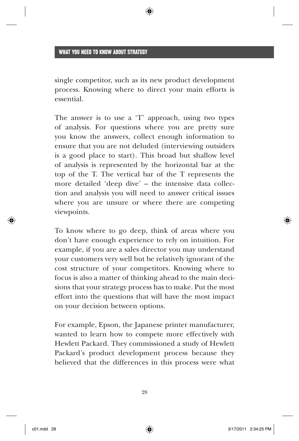single competitor, such as its new product development process. Knowing where to direct your main efforts is essential.

The answer is to use a 'T' approach, using two types of analysis. For questions where you are pretty sure you know the answers, collect enough information to ensure that you are not deluded (interviewing outsiders is a good place to start). This broad but shallow level of analysis is represented by the horizontal bar at the top of the T. The vertical bar of the T represents the more detailed 'deep dive' – the intensive data collection and analysis you will need to answer critical issues where you are unsure or where there are competing viewpoints.

To know where to go deep, think of areas where you don 't have enough experience to rely on intuition. For example, if you are a sales director you may understand your customers very well but be relatively ignorant of the cost structure of your competitors. Knowing where to focus is also a matter of thinking ahead to the main decisions that your strategy processhas to make. Put the most effort into the questions that will have the most impact on your decision between options.

For example, Epson, the Japanese printer manufacturer, wanted to learn how to compete more effectively with Hewlett Packard. They commissioned a study of Hewlett Packard's product development process because they believed that the differences in this process were what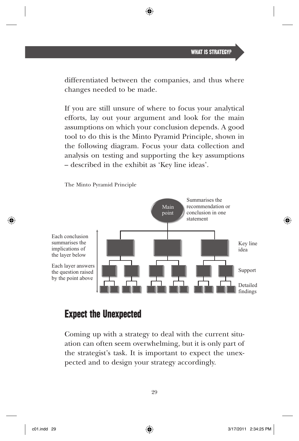differentiated between the companies, and thus where changes needed to be made.

◈

If you are still unsure of where to focus your analytical efforts, lay out your argument and look for the main assumptions on which your conclusion depends. A good tool to do this is the Minto Pyramid Principle, shown in the following diagram. Focus your data collection and analysis on testing and supporting the key assumptions – described in the exhibit as 'Key line ideas '.

The Minto Pyramid Principle



### Expect the Unexpected

Coming up with a strategy to deal with the current situation can often seem overwhelming, but it is only part of the strategist 's task. It is important to expect the unexpected and to design your strategy accordingly.

⊕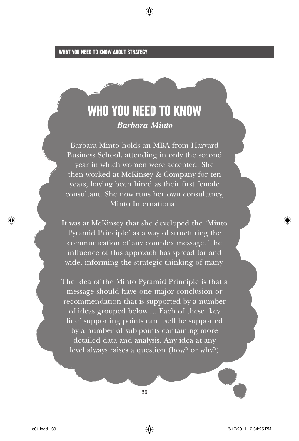## WHO YOU NEED TO KNOW *Barbara Minto*

Barbara Minto holds an MBA from Harvard Business School, attending in only the second year in which women were accepted. She then worked at McKinsey & Company for ten years, having been hired as their first female consultant. She now runs her own consultancy, Minto International.

It was at McKinsey that she developed the 'Minto Pyramid Principle' as a way of structuring the communication of any complex message. The influence of this approach has spread far and wide, informing the strategic thinking of many.

The idea of the Minto Pyramid Principle is that a message should have one major conclusion or recommendation that is supported by a number of ideas grouped below it. Each of these 'key line' supporting points can itself be supported by a number of sub-points containing more detailed data and analysis. Any idea at any level always raises a question (how? or why?)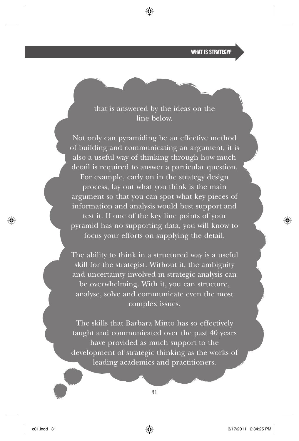WHAT IS STRATEGYP

that is answered by the ideas on the line below.

Not only can pyramiding be an effective method of building and communicating an argument, it is also a useful way of thinking through how much detail is required to answer a particular question. For example, early on in the strategy design process, lay out what you think is the main argument so that you can spot what key pieces of information and analysis would best support and test it. If one of the key line points of your pyramid has no supporting data, you will know to focus your efforts on supplying the detail.

The ability to think in a structured way is a useful skill for the strategist. Without it, the ambiguity and uncertainty involved in strategic analysis can be overwhelming. With it, you can structure, analyse, solve and communicate even the most complex issues.

The skills that Barbara Minto has so effectively taught and communicated over the past 40 years have provided as much support to the development of strategic thinking as the works of leading academics and practitioners.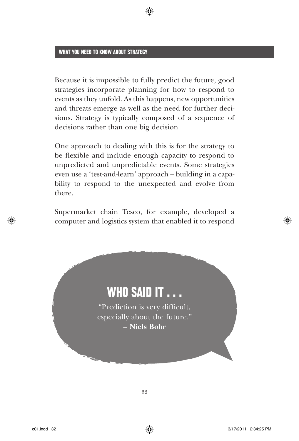Because it is impossible to fully predict the future, good strategies incorporate planning for how to respond to events as they unfold. As this happens, new opportunities and threats emerge as well as the need for further decisions. Strategy is typically composed of a sequence of decisions rather than one big decision.

One approach to dealing with this is for the strategy to be flexible and include enough capacity to respond to unpredicted and unpredictable events. Some strategies even use a 'test-and-learn' approach – building in a capability to respond to the unexpected and evolve from there.

Supermarket chain Tesco, for example, developed a computer and logistics system that enabled it to respond

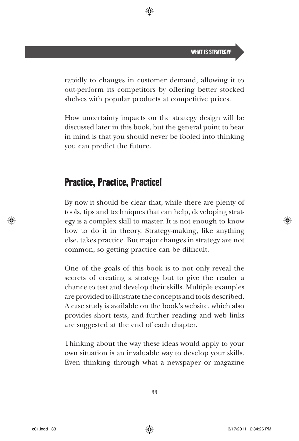rapidly to changes in customer demand, allowing it to out-perform its competitors by offering better stocked shelves with popular products at competitive prices.

How uncertainty impacts on the strategy design will be discussed later in this book, but the general point to bear in mind is that you should never be fooled into thinking you can predict the future.

## Practice, Practice, Practice!

By now it should be clear that, while there are plenty of tools, tips and techniques that can help, developing strategy is a complex skill to master. It is not enough to know how to do it in theory. Strategy-making, like anything else, takes practice. But major changes in strategy are not common, so getting practice can be difficult.

One of the goals of this book is to not only reveal the secrets of creating a strategy but to give the reader a chance to test and develop their skills. Multiple examples are provided to illustrate the concepts and tools described. A case study is available on the book 's website, which also provides short tests, and further reading and web links are suggested at the end of each chapter.

Thinking about the way these ideas would apply to your own situation is an invaluable way to develop your skills. Even thinking through what a newspaper or magazine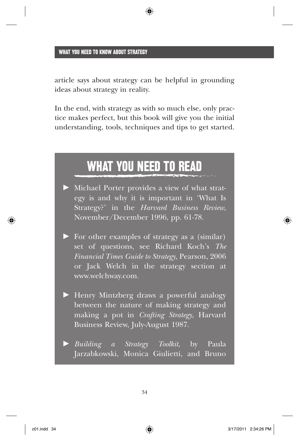article says about strategy can be helpful in grounding ideas about strategy in reality.

⊕

In the end, with strategy as with so much else, only practice makes perfect, but this book will give you the initial understanding, tools, techniques and tips to get started.

## WHAT YOU NEED TO READ

- Michael Porter provides a view of what strategy is and why it is important in 'What Is Strategy?' in the *Harvard Business Review*, November/December 1996, pp. 61-78.
- For other examples of strategy as a (similar) set of questions, see Richard Koch 's *The Financial Times Guide to Strategy*, Pearson, 2006 or Jack Welch in the strategy section at www.welchway.com .
- Henry Mintzberg draws a powerful analogy between the nature of making strategy and making a pot in *Crafting Strategy*, Harvard Business Review, July-August 1987.

 $\blacktriangleright$  *Building a Strategy Toolkit*, by Paula Jarzabkowski, Monica Giulietti, and Bruno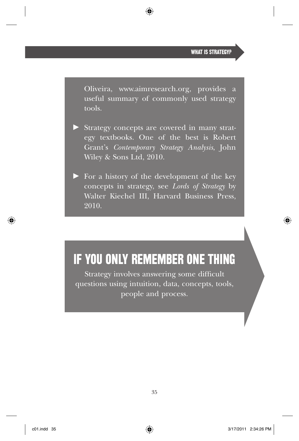Oliveira, www.aimresearch.org, provides a useful summary of commonly used strategy tools.

⊕

- Strategyconcepts are covered in many strategy textbooks. One of the best is Robert Grant 's *Contemporary Strategy Analysis*, John Wiley & Sons Ltd, 2010.
- For a history of the development of the key concepts in strategy, see *Lords of Strategy* by Walter Kiechel III, Harvard Business Press, 2010.

## IF YOU ONLY REMEMBER ONE THING

Strategy involves answering some difficult questions using intuition, data, concepts, tools, people and process.